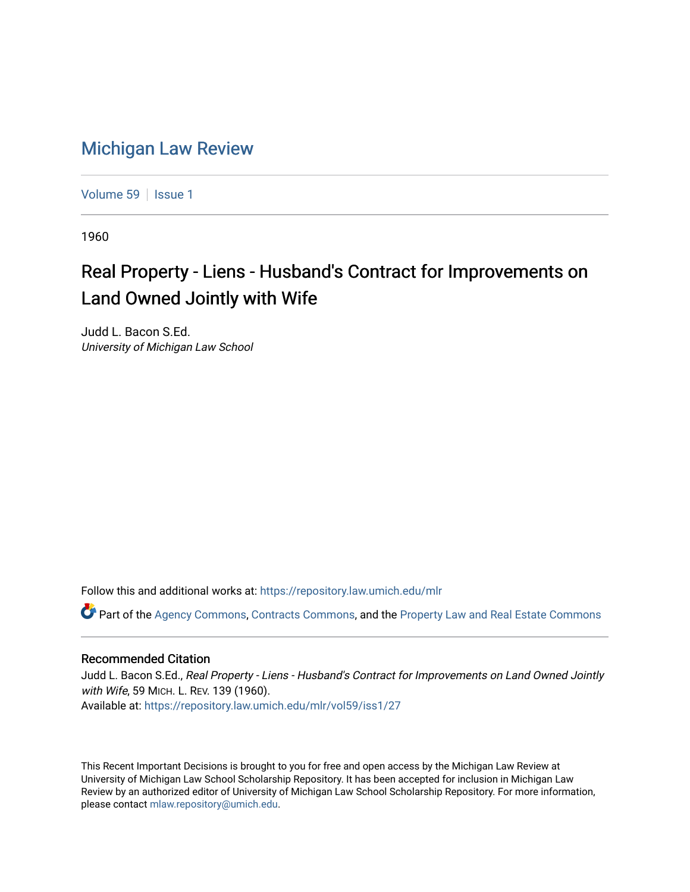## [Michigan Law Review](https://repository.law.umich.edu/mlr)

[Volume 59](https://repository.law.umich.edu/mlr/vol59) | [Issue 1](https://repository.law.umich.edu/mlr/vol59/iss1)

1960

## Real Property - Liens - Husband's Contract for Improvements on Land Owned Jointly with Wife

Judd L. Bacon S.Ed. University of Michigan Law School

Follow this and additional works at: [https://repository.law.umich.edu/mlr](https://repository.law.umich.edu/mlr?utm_source=repository.law.umich.edu%2Fmlr%2Fvol59%2Fiss1%2F27&utm_medium=PDF&utm_campaign=PDFCoverPages) 

Part of the [Agency Commons,](http://network.bepress.com/hgg/discipline/829?utm_source=repository.law.umich.edu%2Fmlr%2Fvol59%2Fiss1%2F27&utm_medium=PDF&utm_campaign=PDFCoverPages) [Contracts Commons](http://network.bepress.com/hgg/discipline/591?utm_source=repository.law.umich.edu%2Fmlr%2Fvol59%2Fiss1%2F27&utm_medium=PDF&utm_campaign=PDFCoverPages), and the [Property Law and Real Estate Commons](http://network.bepress.com/hgg/discipline/897?utm_source=repository.law.umich.edu%2Fmlr%2Fvol59%2Fiss1%2F27&utm_medium=PDF&utm_campaign=PDFCoverPages) 

## Recommended Citation

Judd L. Bacon S.Ed., Real Property - Liens - Husband's Contract for Improvements on Land Owned Jointly with Wife, 59 MICH. L. REV. 139 (1960). Available at: [https://repository.law.umich.edu/mlr/vol59/iss1/27](https://repository.law.umich.edu/mlr/vol59/iss1/27?utm_source=repository.law.umich.edu%2Fmlr%2Fvol59%2Fiss1%2F27&utm_medium=PDF&utm_campaign=PDFCoverPages) 

This Recent Important Decisions is brought to you for free and open access by the Michigan Law Review at University of Michigan Law School Scholarship Repository. It has been accepted for inclusion in Michigan Law Review by an authorized editor of University of Michigan Law School Scholarship Repository. For more information, please contact [mlaw.repository@umich.edu.](mailto:mlaw.repository@umich.edu)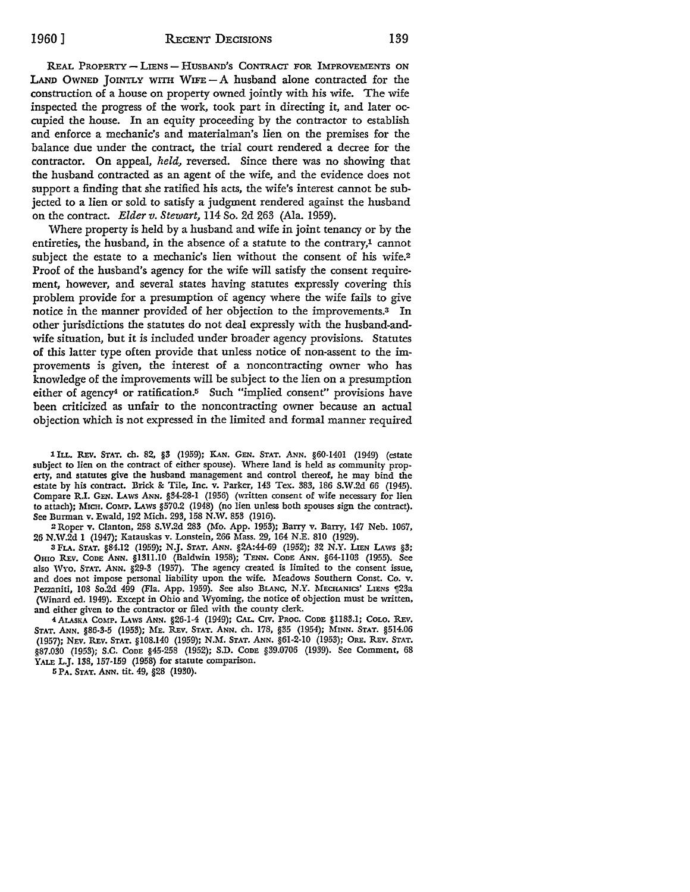REAL PROPERTY - LIENS - HUSBAND'S CONTRACT FOR IMPROVEMENTS ON LAND OWNED JOINTLY WITH WIFE $-A$  husband alone contracted for the construction of a house on property owned jointly with his wife. The wife inspected the progress of the work, took part in directing it, and later occupied the house. In an equity proceeding by the contractor to establish and enforce a mechanic's and materialman's lien on the premises for the balance due under the contract, the trial court rendered a decree for the contractor. On appeal, *held,* reversed. Since there was no showing that the husband contracted as an agent of the wife, and the evidence does not support a finding that she ratified his acts, the wife's interest cannot be subjected to a lien or sold to satisfy a judgment rendered against the husband on the contract. *Elder v. Stewart,* 114 So. 2d 263 (Ala. 1959).

Where property is held by a husband and wife in joint tenancy or by the entireties, the husband, in the absence of a statute to the contrary,1 cannot subject the estate to a mechanic's lien without the consent of his wife.<sup>2</sup> Proof of the husband's agency for the wife will satisfy the consent requirement, however, and several states having statutes expressly covering this problem provide for a presumption of agency where the wife fails to give notice in the manner provided of her objection to the improvements.<sup>3</sup> In other jurisdictions the statutes do not deal expressly with the husband-andwife situation, but it is included under broader agency provisions. Statutes of this latter type often provide that unless notice of non-assent to the improvements is given, the interest of a noncontracting owner who has knowledge of the improvements will be subject to the lien on a presumption either of agency<sup>4</sup> or ratification.<sup>5</sup> Such "implied consent" provisions have been criticized as unfair to the noncontracting owner because an actual objection which is not expressed in the limited and formal manner required

1 ILL. REv. **STAT.** ch. 82, §3 (1959); KAN. GEN. STAT. ANN. §60-1401 (1949) (estate subject to lien on the contract of either spouse). Where land is held as community property, and statutes give the husband management and control thereof, he may bind the estate by his contract. Brick &: Tile, Inc. v. Parker, 143 Tex. 383, 186 S.W.2d 66 (1945). Compare R.I. GEN. LAws ANN. §34-28-1 (1956) (written consent of wife necessary for lien to attach); MICH. COMP. LAws §570.2 (1948) (no lien unless both spouses sign the contract). See Burman v. Ewald, 192 Mich. 293, 158 N.W. 853 (1916).

2Roper v. Clanton, 258 S.W.2d 283 (Mo. App. 1953); Barry v. Barry, 147 Neb. 1067, 26 N.W.2d 1 (1947); Katauskas v. Lonstein, 266 Mass. 29, 164 N.E. 810 (1929).

3 FLA. STAT. §84.12 (1959); N.J. STAT. ANN. §2A:44-69 (1952); 32 N.Y. LIEN LAWS §3; Omo REv. CODE ANN. §13ll.I0 (Baldwin 1958); TENN. CoDE ANN. §64-1103 (1955). See also Wvo. STAT. ANN. §29-3 (1957). The agency created is limited to the consent issue, and does not impose personal liability upon the wife. Meadows Southern Const. Co. v. Pezzaniti, 108 So.2d 499 (Fla. App. 1959). See also BLANC, N.Y. MECHANICS' LIENS 123a (Winard ed. 1949). Except in Ohio and Wyoming, the notice of objection must be written, and either given to the contractor or filed with the county clerk.

4 ALASKA COMP. LAws ANN. §26-1-4 (1949); CAL. Crv. PROC. CODE §ll83.l; COLO. REv. STAT. ANN. §86-3-5 (1953); ME. REv. STAT. ANN. ch. 178, §35 (1954); MINN. STAT. §514.06 (1957); NEv. REv. STAT. §108.140 (1959); N.M. STAT. ANN. §61-2-10 (1953); ORE. REv. STAT. §87.030 (1953); S.C. CoDE §45-258 (1952); S.D. CoDE §39.0706 (1939). See Comment, 68 YALE L.J. 138, 157-159 (1958) for statute comparison.

5 PA. STAT. ANN. tit. 49, §28 (1930).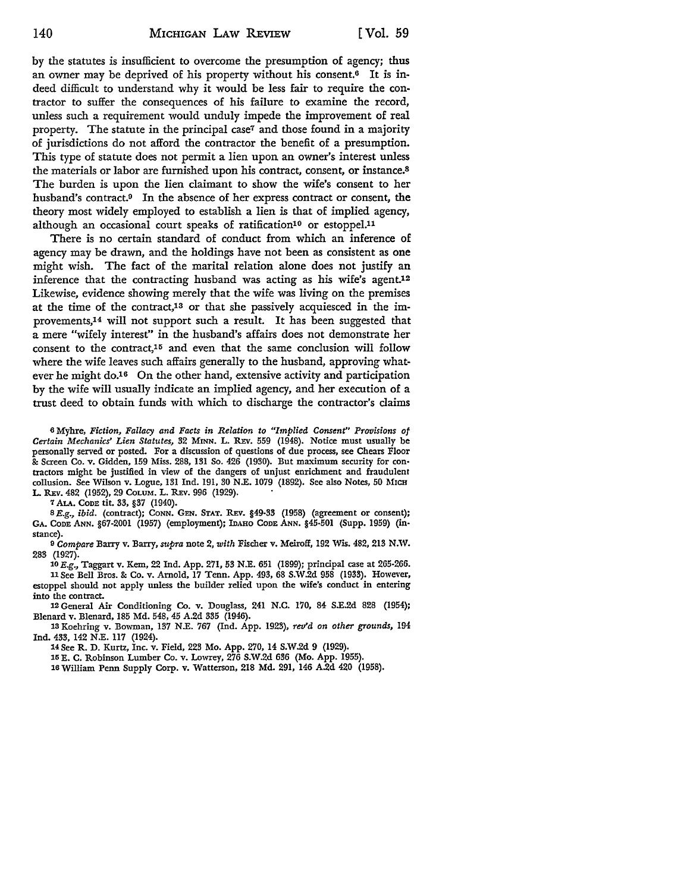by the statutes is insufficient to overcome the presumption of agency; thus an owner may be deprived of his property without his consent.6 It is indeed difficult to understand why it would be less fair to require the contractor to suffer the consequences of his failure to examine the record, unless such a requirement would unduly impede the improvement of real property. The statute in the principal case<sup>7</sup> and those found in a majority of jurisdictions do not afford the contractor the benefit of a presumption. This type of statute does not permit a lien upon an owner's interest unless the materials or labor are furnished upon his contract, consent, or instance.<sup>8</sup> The burden is upon the lien claimant to show the wife's consent to her husband's contract.9 In the absence of her express contract or consent, the theory most widely employed to establish a lien is that of implied agency, although an occasional court speaks of ratification<sup>10</sup> or estoppel.<sup>11</sup>

There is no certain standard of conduct from which an inference of agency may be drawn, and the holdings have not been as consistent as one might wish. The fact of the marital relation alone does not justify an inference that the contracting husband was acting as his wife's agent.<sup>12</sup> Likewise, evidence showing merely that the wife was living on the premises at the time of the contract,13 or that she passively acquiesced in the improvements,14 will not support such a result. It has been suggested that a mere "wifely interest" in the husband's affairs does not demonstrate her consent to the contract,15 and even that the same conclusion will follow where the wife leaves such affairs generally to the husband, approving whatever he might do.<sup>16</sup> On the other hand, extensive activity and participation by the wife will usually indicate an implied agency, and her execution of a trust deed to obtain funds with which to discharge the contractor's claims

<sup>6</sup>Myhre, *Fiction, Fallacy and Facts in Relation to "Implied Consent" Provisions of Certain Mechanics' Lien Statutes,* 32 MINN. L. R:Ev. 559 (1948). Notice must usually be personally served or posted. For a discussion of questions of due process, see Chears Floor &: Screen Co. v. Gidden, 159 Miss. 288, 131 So. 426 (1930). But maximum security for contractors might be justified in view of the dangers of unjust enrichment and fraudulent collusion. See Wilson v. Logue, 131 Ind. 191, 30 N.E. 1079 (1892). See also Notes, 50 MICH L. REV. 482 (1952), 29 COLUM. L. REV. 996 (1929).

7 ALA. CODE tit. 33, §37 (1940).

8 E.g., *ibid.* (contract); CONN. GEN. STAT. REV. §49-33 (1958) (agreement or consent); GA. CoDE ANN. §67-2001 (1957) (employment); IDAHO CODE ANN. §45-501 (Supp. 1959) (instance).

9 *Compare* Barry v. Barry, *supra* note 2, *with* Fischer v. Meiroff, 192 Wis. 482,213 N.W. 283 (1927).

10 E.g., Taggart v. Kem, 22 Ind. App. 271, 53 N.E. 651 (1899); principal case at 265-266. 11 See Bell Bros. & Co. v. Arnold, 17 Tenn. App. 493, 68 S.W.2d 958 (1933). However,

estoppel should not apply unless the builder relied upon the wife's conduct in entering into the contract.

12 General Air Conditioning Co. v. Douglass, 241 **N.C.** 170, 84 S.E.2d 828 (1954); Blenard v. Blenard, 185 Md. 548, 45 A.2d 335 (1946).

13 Koehring v. Bowman, 137 N.E. 767 (Ind. App. 1923), *rev'd on other grounds,* 194 Ind. 433, 142 N.E. 117 (1924).

14See R. D. Kurtz, Inc. v. Field, 223 Mo. App. 270, 14 S.W.2d 9 (1929).

15 E. C. Robinson Lumber Co. v. Lowrey, 276 S.W.2d 636 (Mo. App. 1955).

16 William Penn Supply Corp. v. Watterson, 218 Md. 291, 146 A.2d 420 (1958).